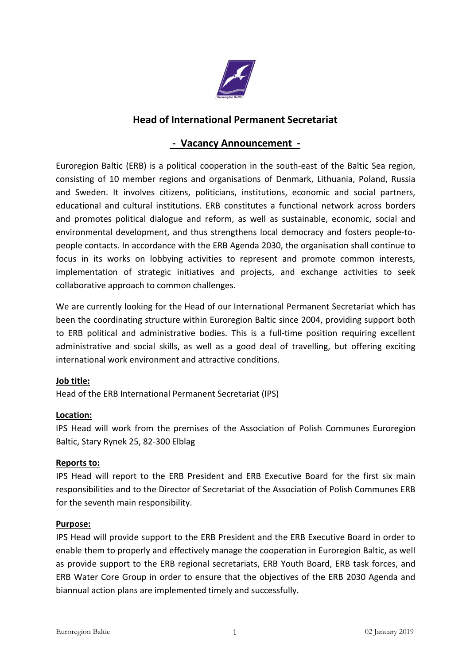

# **Head of International Permanent Secretariat**

## **- Vacancy Announcement -**

Euroregion Baltic (ERB) is a political cooperation in the south-east of the Baltic Sea region, consisting of 10 member regions and organisations of Denmark, Lithuania, Poland, Russia and Sweden. It involves citizens, politicians, institutions, economic and social partners, educational and cultural institutions. ERB constitutes a functional network across borders and promotes political dialogue and reform, as well as sustainable, economic, social and environmental development, and thus strengthens local democracy and fosters people-to people contacts. In accordance with the ERB Agenda 2030, the organisation shall continue to focus in its works on lobbying activities to represent and promote common interests, implementation of strategic initiatives and projects, and exchange activities to seek collaborative approach to common challenges.

We are currently looking for the Head of our International Permanent Secretariat which has been the coordinating structure within Euroregion Baltic since 2004, providing support both to ERB political and administrative bodies. This is a full-time position requiring excellent administrative and social skills, as well as a good deal of travelling, but offering exciting international work environment and attractive conditions.

## **Job title:**

Head of the ERB International Permanent Secretariat (IPS)

## **Location:**

IPS Head will work from the premises of the Association of Polish Communes Euroregion Baltic, Stary Rynek 25, 82-300 Elblag

## **Reports to:**

IPS Head will report to the ERB President and ERB Executive Board for the first six main responsibilities and to the Director of Secretariat of the Association of Polish Communes ERB for the seventh main responsibility.

## **Purpose:**

IPS Head will provide support to the ERB President and the ERB Executive Board in order to enable them to properly and effectively manage the cooperation in Euroregion Baltic, as well as provide support to the ERB regional secretariats, ERB Youth Board, ERB task forces, and ERB Water Core Group in order to ensure that the objectives of the ERB 2030 Agenda and biannual action plans are implemented timely and successfully.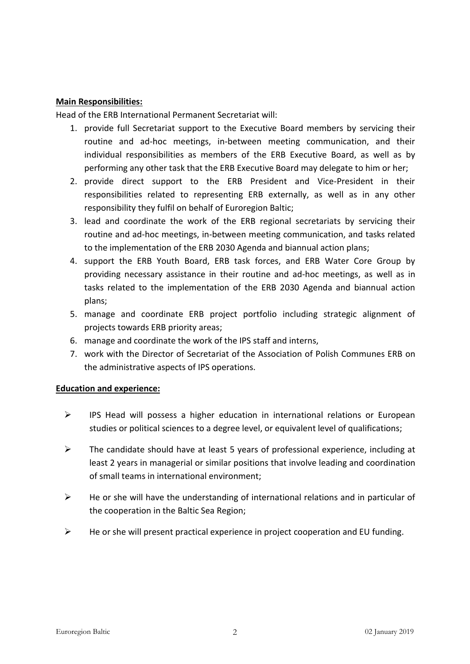## **Main Responsibilities:**

Head of the ERB International Permanent Secretariat will:

- 1. provide full Secretariat support to the Executive Board members by servicing their routine and ad-hoc meetings, in-between meeting communication, and their individual responsibilities as members of the ERB Executive Board, as well as by performing any other task that the ERB Executive Board may delegate to him or her;
- 2. provide direct support to the ERB President and Vice-President in their responsibilities related to representing ERB externally, as well as in any other responsibility they fulfil on behalf of Euroregion Baltic;
- 3. lead and coordinate the work of the ERB regional secretariats by servicing their routine and ad-hoc meetings, in-between meeting communication, and tasks related to the implementation of the ERB 2030 Agenda and biannual action plans;
- 4. support the ERB Youth Board, ERB task forces, and ERB Water Core Group by providing necessary assistance in their routine and ad-hoc meetings, as well as in tasks related to the implementation of the ERB 2030 Agenda and biannual action plans;
- 5. manage and coordinate ERB project portfolio including strategic alignment of projects towards ERB priority areas;
- 6. manage and coordinate the work of the IPS staff and interns,
- 7. work with the Director of Secretariat of the Association of Polish Communes ERB on the administrative aspects of IPS operations.

## **Education and experience:**

- $\triangleright$  IPS Head will possess a higher education in international relations or European studies or political sciences to a degree level, or equivalent level of qualifications;
- $\triangleright$  The candidate should have at least 5 years of professional experience, including at least 2 years in managerial or similar positions that involve leading and coordination of small teams in international environment;
- $\triangleright$  He or she will have the understanding of international relations and in particular of the cooperation in the Baltic Sea Region;
- $\triangleright$  He or she will present practical experience in project cooperation and EU funding.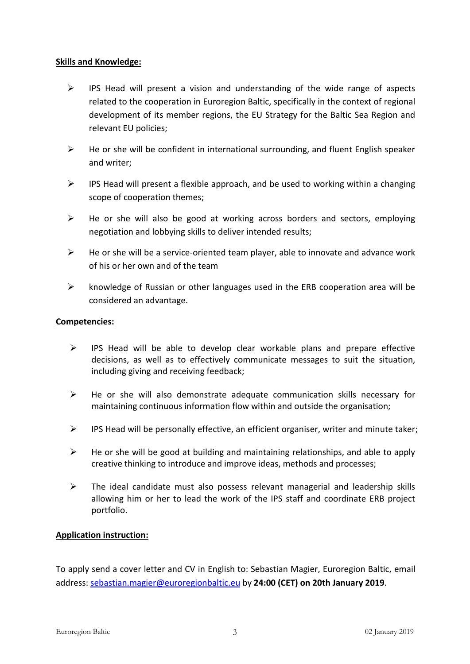## **Skills and Knowledge:**

- $\triangleright$  IPS Head will present a vision and understanding of the wide range of aspects related to the cooperation in Euroregion Baltic, specifically in the context of regional development of its member regions, the EU Strategy for the Baltic Sea Region and relevant EU policies;
- $\triangleright$  He or she will be confident in international surrounding, and fluent English speaker and writer;
- $\triangleright$  IPS Head will present a flexible approach, and be used to working within a changing scope of cooperation themes;
- $\triangleright$  He or she will also be good at working across borders and sectors, employing negotiation and lobbying skills to deliver intended results;
- $\triangleright$  He or she will be a service-oriented team player, able to innovate and advance work of his or her own and of the team
- $\triangleright$  knowledge of Russian or other languages used in the ERB cooperation area will be considered an advantage.

## **Competencies:**

- $\triangleright$  IPS Head will be able to develop clear workable plans and prepare effective decisions, as well as to effectively communicate messages to suit the situation, including giving and receiving feedback;
- $\triangleright$  He or she will also demonstrate adequate communication skills necessary for maintaining continuous information flow within and outside the organisation;
- $\triangleright$  IPS Head will be personally effective, an efficient organiser, writer and minute taker;
- $\triangleright$  He or she will be good at building and maintaining relationships, and able to apply creative thinking to introduce and improve ideas, methods and processes;
- $\triangleright$  The ideal candidate must also possess relevant managerial and leadership skills allowing him or her to lead the work of the IPS staff and coordinate ERB project portfolio.

## **Application instruction:**

To apply send a coverletter and CV in English to: Sebastian Magier, Euroregion Baltic, email address: [sebastian.magier@euroregionbaltic.eu](mailto:sebatian.magier@euroregionbaltic.eu) by **24:00 (CET) on 20th January 2019**.